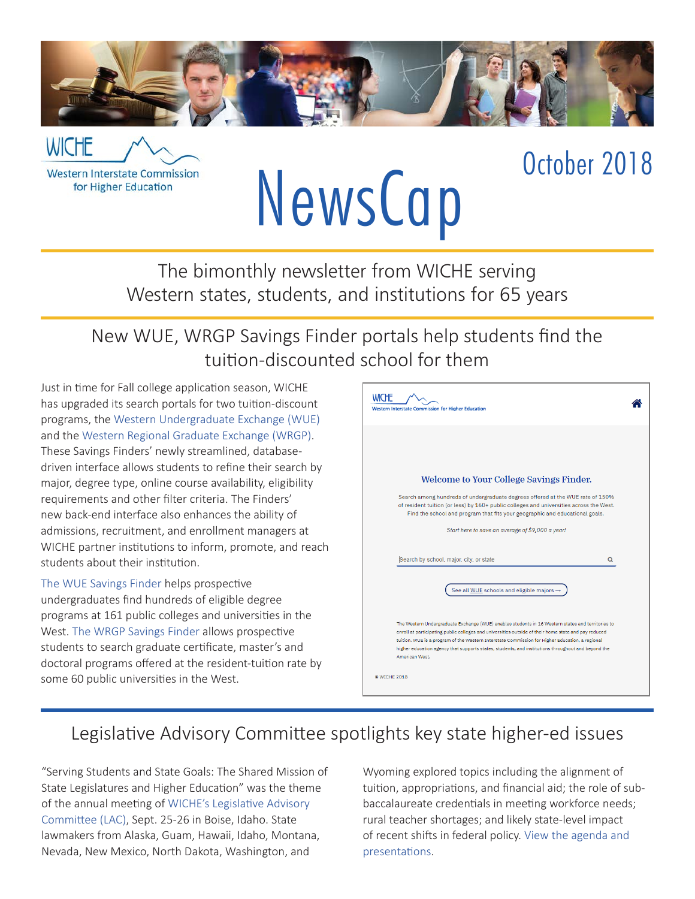

**WICHE Western Interstate Commission** 

for Higher Education

# NewsCap October 2018

The bimonthly newsletter from WICHE serving Western states, students, and institutions for 65 years

New WUE, WRGP Savings Finder portals help students find the tuition-discounted school for them

Just in time for Fall college application season, WICHE has upgraded its search portals for two tuition-discount programs, the [Western Undergraduate Exchange \(WUE\)](https://wuesavingsfinder.wiche.edu/) and the [Western Regional Graduate Exchange \(WRGP\)](https://wrgpsavingsfinder.wiche.edu/). These Savings Finders' newly streamlined, databasedriven interface allows students to refine their search by major, degree type, online course availability, eligibility requirements and other filter criteria. The Finders' new back-end interface also enhances the ability of admissions, recruitment, and enrollment managers at WICHE partner institutions to inform, promote, and reach students about their institution.

[The WUE Savings Finder](https://wuesavingsfinder.wiche.edu) helps prospective undergraduates find hundreds of eligible degree programs at 161 public colleges and universities in the West. [The WRGP Savings Finder](https://wrgpsavingsfinder.wiche.edu) allows prospective students to search graduate certificate, master's and doctoral programs offered at the resident-tuition rate by some 60 public universities in the West.



#### Legislative Advisory Committee spotlights key state higher-ed issues

"Serving Students and State Goals: The Shared Mission of State Legislatures and Higher Education" was the theme of the annual meeting of [WICHE's Legislative Advisory](https://wiche.edu/lac)  [Committee \(LAC\)](https://wiche.edu/lac), Sept. 25-26 in Boise, Idaho. State lawmakers from Alaska, Guam, Hawaii, Idaho, Montana, Nevada, New Mexico, North Dakota, Washington, and

Wyoming explored topics including the alignment of tuition, appropriations, and financial aid; the role of subbaccalaureate credentials in meeting workforce needs; rural teacher shortages; and likely state-level impact of recent shifts in federal policy. [View the agenda and](https://wiche.edu/lac/annual-meeting-september-2018)  [presentations](https://wiche.edu/lac/annual-meeting-september-2018).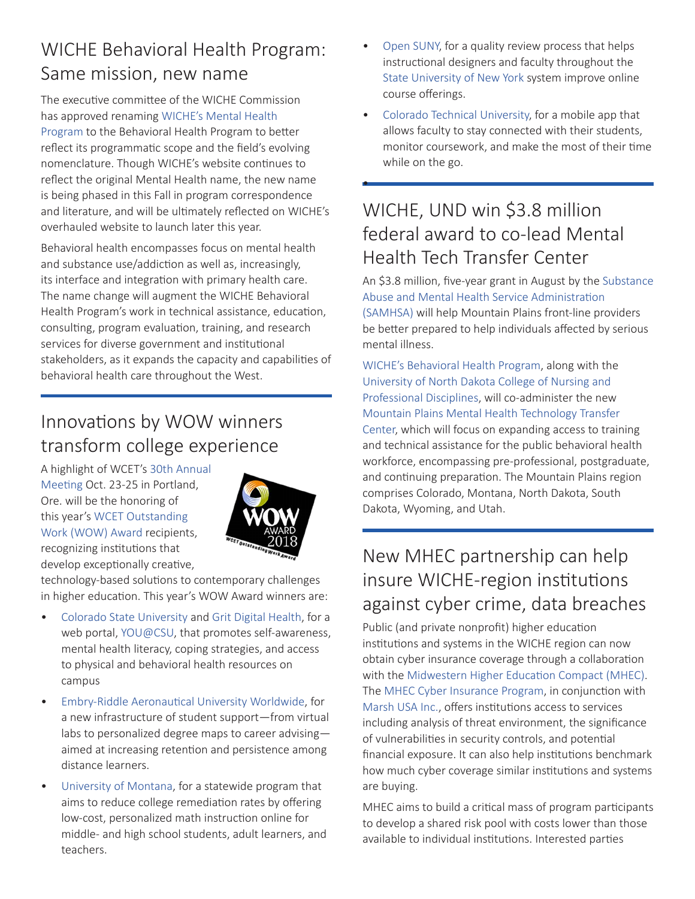#### WICHE Behavioral Health Program: Same mission, new name

The executive committee of the WICHE Commission has approved renaming [WICHE's Mental Health](https://wiche.edu/mentalhealth)  [Program](https://wiche.edu/mentalhealth) to the Behavioral Health Program to better reflect its programmatic scope and the field's evolving nomenclature. Though WICHE's website continues to reflect the original Mental Health name, the new name is being phased in this Fall in program correspondence and literature, and will be ultimately reflected on WICHE's overhauled website to launch later this year.

Behavioral health encompasses focus on mental health and substance use/addiction as well as, increasingly, its interface and integration with primary health care. The name change will augment the WICHE Behavioral Health Program's work in technical assistance, education, consulting, program evaluation, training, and research services for diverse government and institutional stakeholders, as it expands the capacity and capabilities of behavioral health care throughout the West.

#### Innovations by WOW winners transform college experience

A highlight of WCET's [30th Annual](https://www.eiseverywhere.com/ehome/318482)  [Meeting](https://www.eiseverywhere.com/ehome/318482) Oct. 23-25 in Portland, Ore. will be the honoring of this year's [WCET Outstanding](https://wcet.wiche.edu/initiatives/wcet-awards/wow/media-release-2018)  [Work \(WOW\) Award](https://wcet.wiche.edu/initiatives/wcet-awards/wow/media-release-2018) recipients, recognizing institutions that develop exceptionally creative,



technology-based solutions to contemporary challenges in higher education. This year's WOW Award winners are:

- [Colorado State University](https://www.colostate.edu/) and [Grit Digital Health,](https://gritdigitalhealth.com/) for a web portal, [YOU@CSU](https://health.colostate.edu/youcsu/), that promotes self-awareness, mental health literacy, coping strategies, and access to physical and behavioral health resources on campus
- [Embry-Riddle Aeronautical University Worldwide](https://worldwide.erau.edu/), for a new infrastructure of student support—from virtual labs to personalized degree maps to career advising aimed at increasing retention and persistence among distance learners.
- [University of Montana](http://www.umt.edu/), for a statewide program that aims to reduce college remediation rates by offering low-cost, personalized math instruction online for middle- and high school students, adult learners, and teachers.
- [Open SUNY,](https://open.suny.edu/) for a quality review process that helps instructional designers and faculty throughout the [State University of New York](https://www.suny.edu/) system improve online course offerings.
- [Colorado Technical University](https://www.coloradotech.edu/), for a mobile app that allows faculty to stay connected with their students, monitor coursework, and make the most of their time while on the go.

#### WICHE, UND win \$3.8 million federal award to co-lead Mental Health Tech Transfer Center

•

An \$3.8 million, five-year grant in August by the [Substance](https://www.samhsa.gov/) [Abuse and Mental Health Service Administration](https://www.samhsa.gov/)  [\(SAMHSA\) w](https://www.samhsa.gov/)ill help Mountain Plains front-line providers be better prepared to help individuals affected by serious mental illness.

[WICHE's Behavioral Health Program](https://wiche.edu/mentalHealth), along with the [University of North Dakota College of Nursing and](http://www.nursing.und.edu/)  [Professional Disciplines,](http://www.nursing.und.edu/) will co-administer the new [Mountain Plains Mental Health Technology Transfer](http://Mountain Plains Mental Health Technology Transfer Center)  [Center](http://Mountain Plains Mental Health Technology Transfer Center), which will focus on expanding access to training and technical assistance for the public behavioral health workforce, encompassing pre-professional, postgraduate, and continuing preparation. The Mountain Plains region comprises Colorado, Montana, North Dakota, South Dakota, Wyoming, and Utah.

#### New MHEC partnership can help insure WICHE-region institutions against cyber crime, data breaches

Public (and private nonprofit) higher education institutions and systems in the WICHE region can now obtain cyber insurance coverage through a collaboration with the [Midwestern Higher Education Compact \(MHEC\)](https://www.mhec.org/). The [MHEC Cyber Insurance Program](https://www.mhec.org/programs/cyber-insurance), in conjunction with [Marsh USA Inc.](https://www.marsh.com/), offers institutions access to services including analysis of threat environment, the significance of vulnerabilities in security controls, and potential financial exposure. It can also help institutions benchmark how much cyber coverage similar institutions and systems are buying.

MHEC aims to build a critical mass of program participants to develop a shared risk pool with costs lower than those available to individual institutions. Interested parties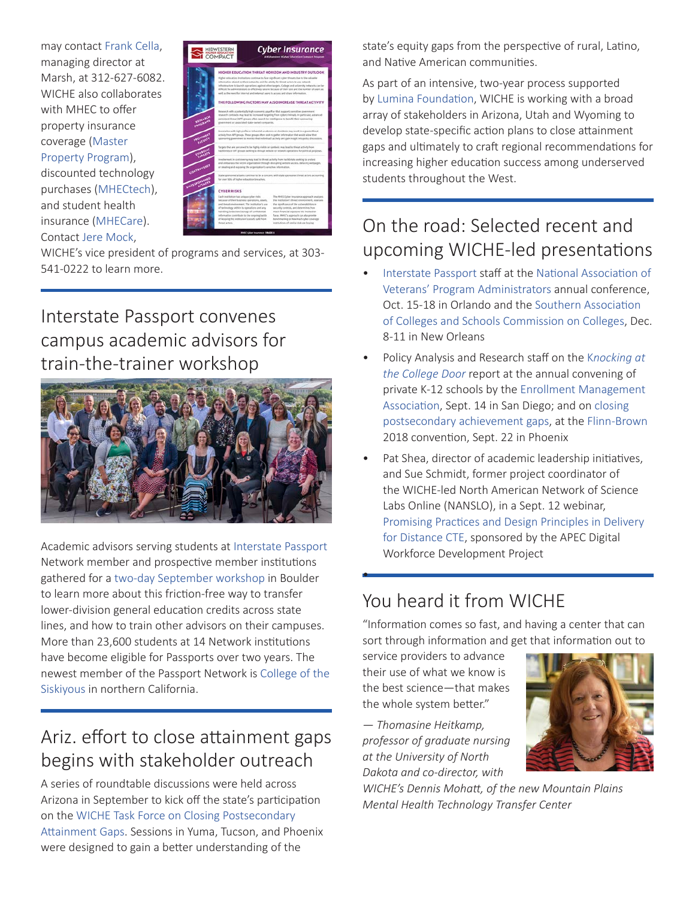may contact [Frank Cella,](mailto:mailto:frank.d.cella@marsh.com) managing director at Marsh, at 312-627-6082. WICHE also collaborates with MHEC to offer property insurance coverage [\(Master](https://www.mhec.org/programs/master-property-program)  [Property Program](https://www.mhec.org/programs/master-property-program)), discounted technology purchases [\(MHECtech\)](https://www.mhec.org/contracts/technology), and student health

insurance [\(MHECare\)](https://www.mhec.org/contracts/health-insurance). Contact [Jere Mock,](mailto:jmock@wiche.edu)



WICHE's vice president of programs and services, at 303- 541-0222 to learn more.

#### Interstate Passport convenes campus academic advisors for train-the-trainer workshop



Academic advisors serving students at [Interstate Passport](http://interstatepassport.wiche.edu/) Network member and prospective member institutions gathered for a [two-day September workshop](https://interstatepassport.wiche.edu/node/174) in Boulder to learn more about this friction-free way to transfer lower-division general education credits across state lines, and how to train other advisors on their campuses. More than 23,600 students at 14 Network institutions have become eligible for Passports over two years. The newest member of the Passport Network is [College of the](http://www.siskiyous.edu/)  [Siskiyous](http://www.siskiyous.edu/) in northern California.

#### Ariz. effort to close attainment gaps begins with stakeholder outreach

A series of roundtable discussions were held across Arizona in September to kick off the state's participation on the [WICHE Task Force on Closing Postsecondary](https://wiche.edu/media-release/arizona-utah-wyoming-on-WICHE-postsecondary-attainment-gaps-task-force)  [Attainment Gaps.](https://wiche.edu/media-release/arizona-utah-wyoming-on-WICHE-postsecondary-attainment-gaps-task-force) Sessions in Yuma, Tucson, and Phoenix were designed to gain a better understanding of the

state's equity gaps from the perspective of rural, Latino, and Native American communities.

As part of an intensive, two-year process supported by [Lumina Foundation,](https://www.luminafoundation.org/) WICHE is working with a broad array of stakeholders in Arizona, Utah and Wyoming to develop state-specific action plans to close attainment gaps and ultimately to craft regional recommendations for increasing higher education success among underserved students throughout the West.

### On the road: Selected recent and upcoming WICHE-led presentations

- [Interstate Passport](https://interstatepassport.wiche.edu/) staff at the [National Association of](http://www.navpa.org/)  [Veterans' Program Administrators](http://www.navpa.org/) annual conference, Oct. 15-18 in Orlando and the [Southern Association](http://www.sacscoc.org/)  [of Colleges and Schools Commission on Colleges](http://www.sacscoc.org/), Dec. 8-11 in New Orleans
- Policy Analysis and Research staff on the K*[nocking at](https://knocking.wiche.edu/)  [the College Door](https://knocking.wiche.edu/)* report at the annual convening of private K-12 schools by the [Enrollment Management](https://ac.enrollment.org/)  [Association,](https://ac.enrollment.org/) Sept. 14 in San Diego; and on [closing](https://wiche.edu/media-release/lumina-foundation-grant-close-postsecondary-attainment-gaps)  [postsecondary achievement gaps,](https://wiche.edu/media-release/lumina-foundation-grant-close-postsecondary-attainment-gaps) at the [Flinn-Brown](https://azcivicleadership.org/flinn-brown-civic-leadership-academy/) 2018 convention, Sept. 22 in Phoenix
- Pat Shea, director of academic leadership initiatives, and Sue Schmidt, former project coordinator of the WICHE-led North American Network of Science Labs Online (NANSLO), in a Sept. 12 webinar, [Promising Practices and Design Principles in Delivery](https://www.youtube.com/watch?v=n7AZawleANY)  [for Distance CTE](https://www.youtube.com/watch?v=n7AZawleANY), sponsored by the APEC Digital Workforce Development Project

#### You heard it from WICHE

"Information comes so fast, and having a center that can sort through information and get that information out to

service providers to advance their use of what we know is the best science—that makes the whole system better."

•

*— Thomasine Heitkamp, professor of graduate nursing at the University of North Dakota and co-director, with* 

*WICHE's Dennis Mohatt, of the new Mountain Plains Mental Health Technology Transfer Center*